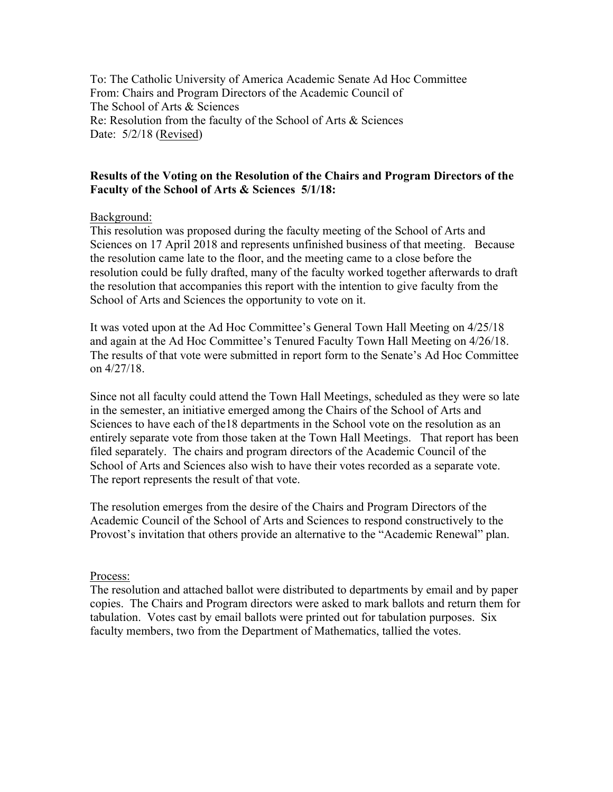To: The Catholic University of America Academic Senate Ad Hoc Committee From: Chairs and Program Directors of the Academic Council of The School of Arts & Sciences Re: Resolution from the faculty of the School of Arts & Sciences Date: 5/2/18 (Revised)

## **Results of the Voting on the Resolution of the Chairs and Program Directors of the Faculty of the School of Arts & Sciences 5/1/18:**

### Background:

This resolution was proposed during the faculty meeting of the School of Arts and Sciences on 17 April 2018 and represents unfinished business of that meeting. Because the resolution came late to the floor, and the meeting came to a close before the resolution could be fully drafted, many of the faculty worked together afterwards to draft the resolution that accompanies this report with the intention to give faculty from the School of Arts and Sciences the opportunity to vote on it.

It was voted upon at the Ad Hoc Committee's General Town Hall Meeting on 4/25/18 and again at the Ad Hoc Committee's Tenured Faculty Town Hall Meeting on 4/26/18. The results of that vote were submitted in report form to the Senate's Ad Hoc Committee on 4/27/18.

Since not all faculty could attend the Town Hall Meetings, scheduled as they were so late in the semester, an initiative emerged among the Chairs of the School of Arts and Sciences to have each of the18 departments in the School vote on the resolution as an entirely separate vote from those taken at the Town Hall Meetings. That report has been filed separately. The chairs and program directors of the Academic Council of the School of Arts and Sciences also wish to have their votes recorded as a separate vote. The report represents the result of that vote.

The resolution emerges from the desire of the Chairs and Program Directors of the Academic Council of the School of Arts and Sciences to respond constructively to the Provost's invitation that others provide an alternative to the "Academic Renewal" plan.

#### Process:

The resolution and attached ballot were distributed to departments by email and by paper copies. The Chairs and Program directors were asked to mark ballots and return them for tabulation. Votes cast by email ballots were printed out for tabulation purposes. Six faculty members, two from the Department of Mathematics, tallied the votes.